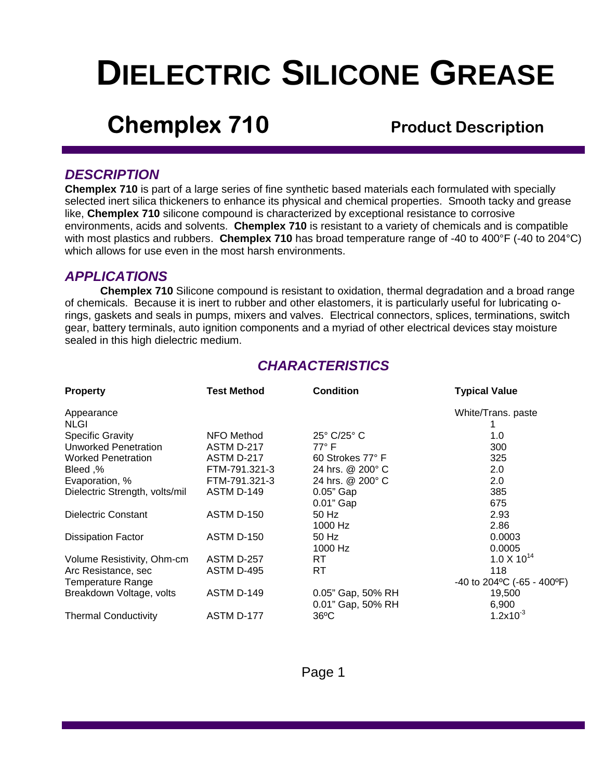# **DIELECTRIC SILICONE GREASE**

## **Chemplex 710** Product Description

## *DESCRIPTION*

**Chemplex 710** is part of a large series of fine synthetic based materials each formulated with specially selected inert silica thickeners to enhance its physical and chemical properties. Smooth tacky and grease like, **Chemplex 710** silicone compound is characterized by exceptional resistance to corrosive environments, acids and solvents. **Chemplex 710** is resistant to a variety of chemicals and is compatible with most plastics and rubbers. **Chemplex 710** has broad temperature range of -40 to 400°F (-40 to 204°C) which allows for use even in the most harsh environments.

## *APPLICATIONS*

**Chemplex 710** Silicone compound is resistant to oxidation, thermal degradation and a broad range of chemicals. Because it is inert to rubber and other elastomers, it is particularly useful for lubricating orings, gaskets and seals in pumps, mixers and valves. Electrical connectors, splices, terminations, switch gear, battery terminals, auto ignition components and a myriad of other electrical devices stay moisture sealed in this high dielectric medium.

## *CHARACTERISTICS*

| <b>Property</b>                | <b>Test Method</b> | <b>Condition</b>           | <b>Typical Value</b>         |
|--------------------------------|--------------------|----------------------------|------------------------------|
| Appearance                     |                    |                            | White/Trans. paste           |
| <b>NLGI</b>                    |                    |                            |                              |
| <b>Specific Gravity</b>        | NFO Method         | $25^\circ$ C/25 $^\circ$ C | 1.0                          |
| <b>Unworked Penetration</b>    | ASTM D-217         | $77^\circ$ F               | 300                          |
| <b>Worked Penetration</b>      | ASTM D-217         | 60 Strokes 77° F           | 325                          |
| Need,%                         | FTM-791.321-3      | 24 hrs. @ 200° C           | 2.0                          |
| Evaporation, %                 | FTM-791.321-3      | 24 hrs. @ 200° C           | 2.0                          |
| Dielectric Strength, volts/mil | ASTM D-149         | $0.05"$ Gap                | 385                          |
|                                |                    | $0.01$ " Gap               | 675                          |
| Dielectric Constant            | ASTM D-150         | 50 Hz                      | 2.93                         |
|                                |                    | 1000 Hz                    | 2.86                         |
| <b>Dissipation Factor</b>      | ASTM D-150         | 50 Hz                      | 0.0003                       |
|                                |                    | 1000 Hz                    | 0.0005                       |
| Volume Resistivity, Ohm-cm     | ASTM D-257         | RT.                        | $1.0 \times 10^{14}$         |
| Arc Resistance, sec            | ASTM D-495         | RT.                        | 118                          |
| Temperature Range              |                    |                            | -40 to 204 °C (-65 - 400 °F) |
| Breakdown Voltage, volts       | ASTM D-149         | 0.05" Gap, 50% RH          | 19,500                       |
|                                |                    | 0.01" Gap, 50% RH          | 6,900                        |
| <b>Thermal Conductivity</b>    | ASTM D-177         | $36^{\circ}$ C             | $1.2x10^{-3}$                |